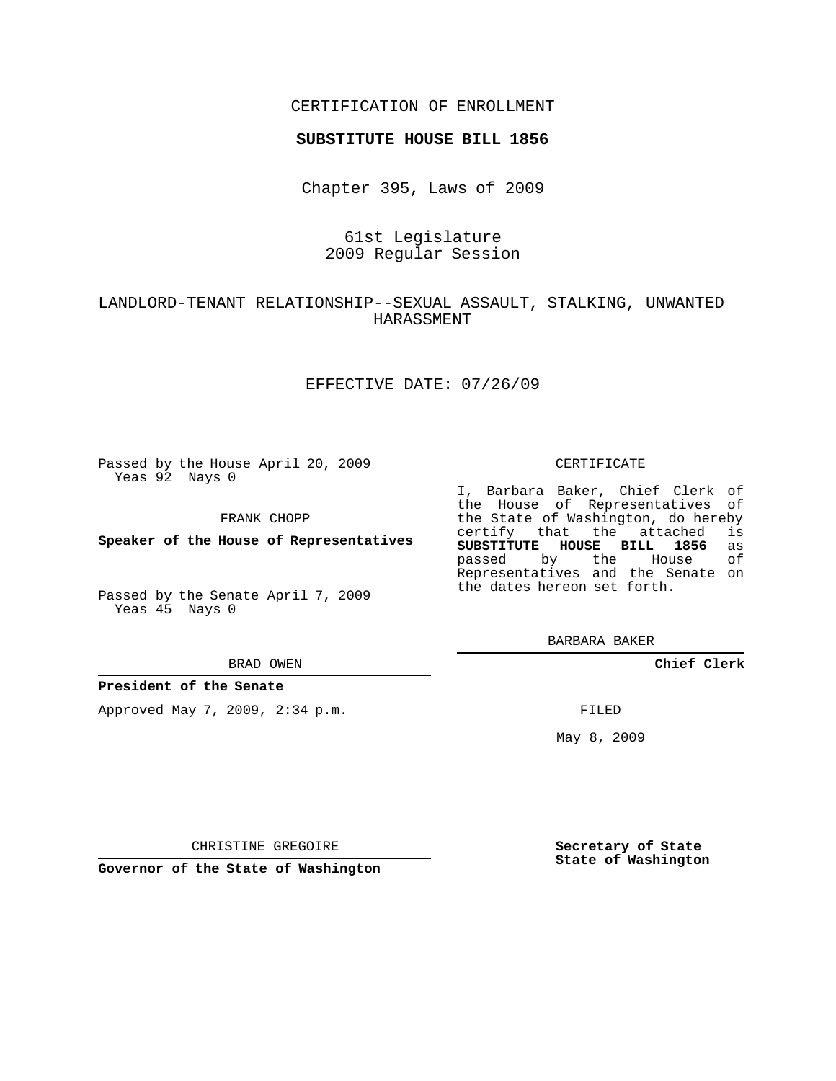## CERTIFICATION OF ENROLLMENT

#### **SUBSTITUTE HOUSE BILL 1856**

Chapter 395, Laws of 2009

# 61st Legislature 2009 Regular Session

# LANDLORD-TENANT RELATIONSHIP--SEXUAL ASSAULT, STALKING, UNWANTED HARASSMENT

## EFFECTIVE DATE: 07/26/09

Passed by the House April 20, 2009 Yeas 92 Nays 0

FRANK CHOPP

**Speaker of the House of Representatives**

Passed by the Senate April 7, 2009 Yeas 45 Nays 0

#### BRAD OWEN

#### **President of the Senate**

Approved May 7, 2009, 2:34 p.m.

#### CERTIFICATE

I, Barbara Baker, Chief Clerk of the House of Representatives of the State of Washington, do hereby<br>certify that the attached is certify that the attached **SUBSTITUTE HOUSE BILL 1856** as passed by the House of Representatives and the Senate on the dates hereon set forth.

BARBARA BAKER

**Chief Clerk**

FILED

May 8, 2009

**Secretary of State State of Washington**

CHRISTINE GREGOIRE

**Governor of the State of Washington**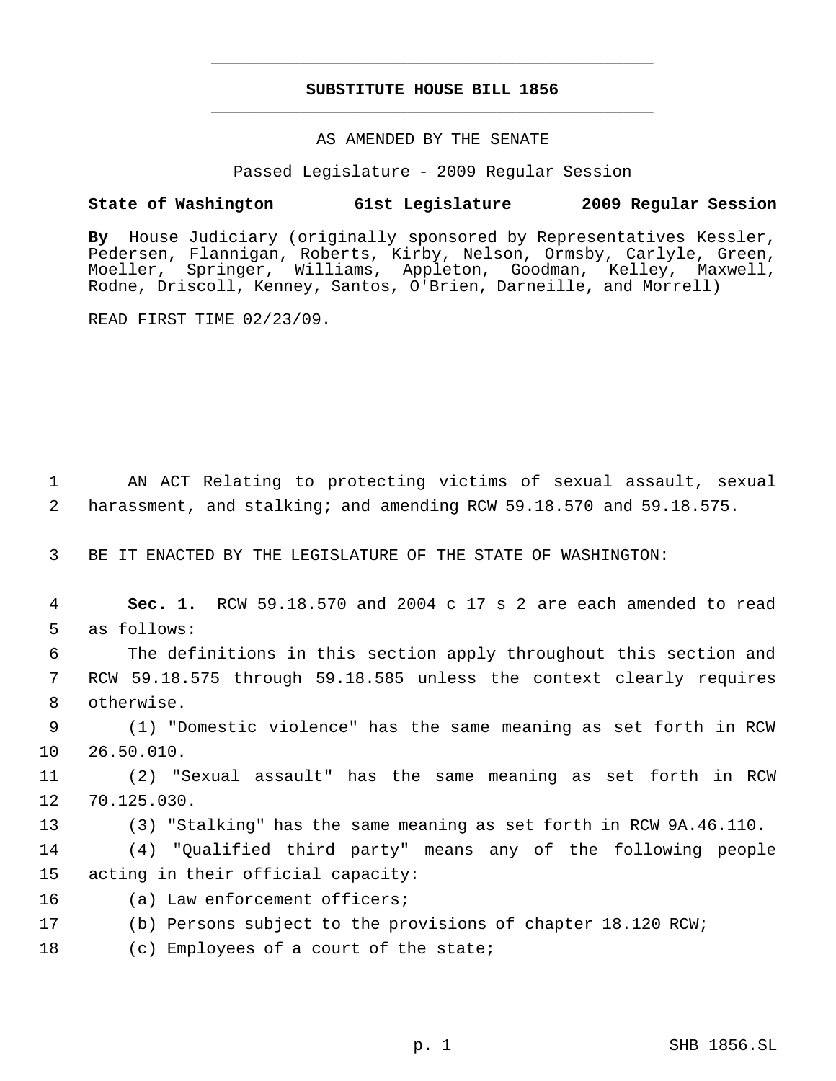# **SUBSTITUTE HOUSE BILL 1856** \_\_\_\_\_\_\_\_\_\_\_\_\_\_\_\_\_\_\_\_\_\_\_\_\_\_\_\_\_\_\_\_\_\_\_\_\_\_\_\_\_\_\_\_\_

\_\_\_\_\_\_\_\_\_\_\_\_\_\_\_\_\_\_\_\_\_\_\_\_\_\_\_\_\_\_\_\_\_\_\_\_\_\_\_\_\_\_\_\_\_

#### AS AMENDED BY THE SENATE

Passed Legislature - 2009 Regular Session

### **State of Washington 61st Legislature 2009 Regular Session**

**By** House Judiciary (originally sponsored by Representatives Kessler, Pedersen, Flannigan, Roberts, Kirby, Nelson, Ormsby, Carlyle, Green, Moeller, Springer, Williams, Appleton, Goodman, Kelley, Maxwell, Rodne, Driscoll, Kenney, Santos, O'Brien, Darneille, and Morrell)

READ FIRST TIME 02/23/09.

 1 AN ACT Relating to protecting victims of sexual assault, sexual 2 harassment, and stalking; and amending RCW 59.18.570 and 59.18.575.

3 BE IT ENACTED BY THE LEGISLATURE OF THE STATE OF WASHINGTON:

 4 **Sec. 1.** RCW 59.18.570 and 2004 c 17 s 2 are each amended to read 5 as follows:

 6 The definitions in this section apply throughout this section and 7 RCW 59.18.575 through 59.18.585 unless the context clearly requires 8 otherwise.

 9 (1) "Domestic violence" has the same meaning as set forth in RCW 10 26.50.010.

11 (2) "Sexual assault" has the same meaning as set forth in RCW 12 70.125.030.

13 (3) "Stalking" has the same meaning as set forth in RCW 9A.46.110.

14 (4) "Qualified third party" means any of the following people 15 acting in their official capacity:

- 16 (a) Law enforcement officers;
- 17 (b) Persons subject to the provisions of chapter 18.120 RCW;
- 18 (c) Employees of a court of the state;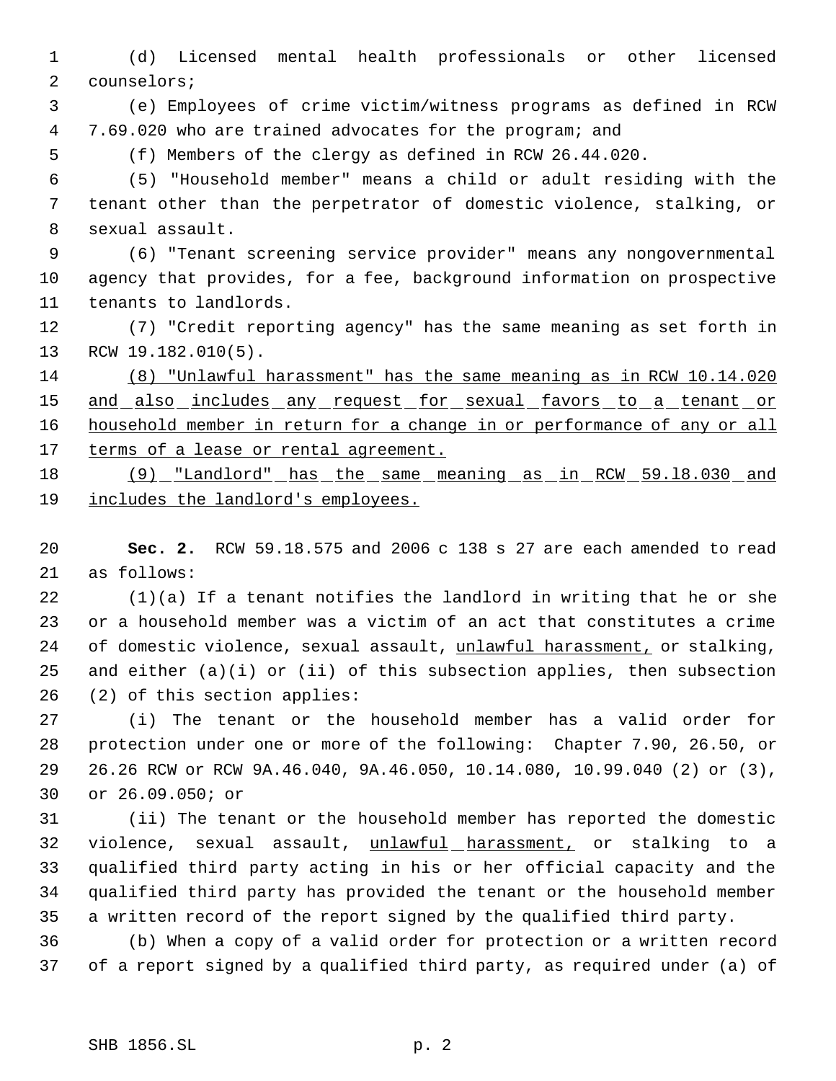(d) Licensed mental health professionals or other licensed counselors;

 (e) Employees of crime victim/witness programs as defined in RCW 7.69.020 who are trained advocates for the program; and

(f) Members of the clergy as defined in RCW 26.44.020.

 (5) "Household member" means a child or adult residing with the tenant other than the perpetrator of domestic violence, stalking, or sexual assault.

 (6) "Tenant screening service provider" means any nongovernmental agency that provides, for a fee, background information on prospective tenants to landlords.

 (7) "Credit reporting agency" has the same meaning as set forth in RCW 19.182.010(5).

 (8) "Unlawful harassment" has the same meaning as in RCW 10.14.020 15 and also includes any request for sexual favors to a tenant or 16 household member in return for a change in or performance of any or all 17 terms of a lease or rental agreement.

 (9) "Landlord" has the same meaning as in RCW 59.l8.030 and includes the landlord's employees.

 **Sec. 2.** RCW 59.18.575 and 2006 c 138 s 27 are each amended to read as follows:

 (1)(a) If a tenant notifies the landlord in writing that he or she or a household member was a victim of an act that constitutes a crime 24 of domestic violence, sexual assault, unlawful harassment, or stalking, and either (a)(i) or (ii) of this subsection applies, then subsection (2) of this section applies:

 (i) The tenant or the household member has a valid order for protection under one or more of the following: Chapter 7.90, 26.50, or 26.26 RCW or RCW 9A.46.040, 9A.46.050, 10.14.080, 10.99.040 (2) or (3), or 26.09.050; or

 (ii) The tenant or the household member has reported the domestic 32 violence, sexual assault, unlawful harassment, or stalking to a qualified third party acting in his or her official capacity and the qualified third party has provided the tenant or the household member a written record of the report signed by the qualified third party.

 (b) When a copy of a valid order for protection or a written record of a report signed by a qualified third party, as required under (a) of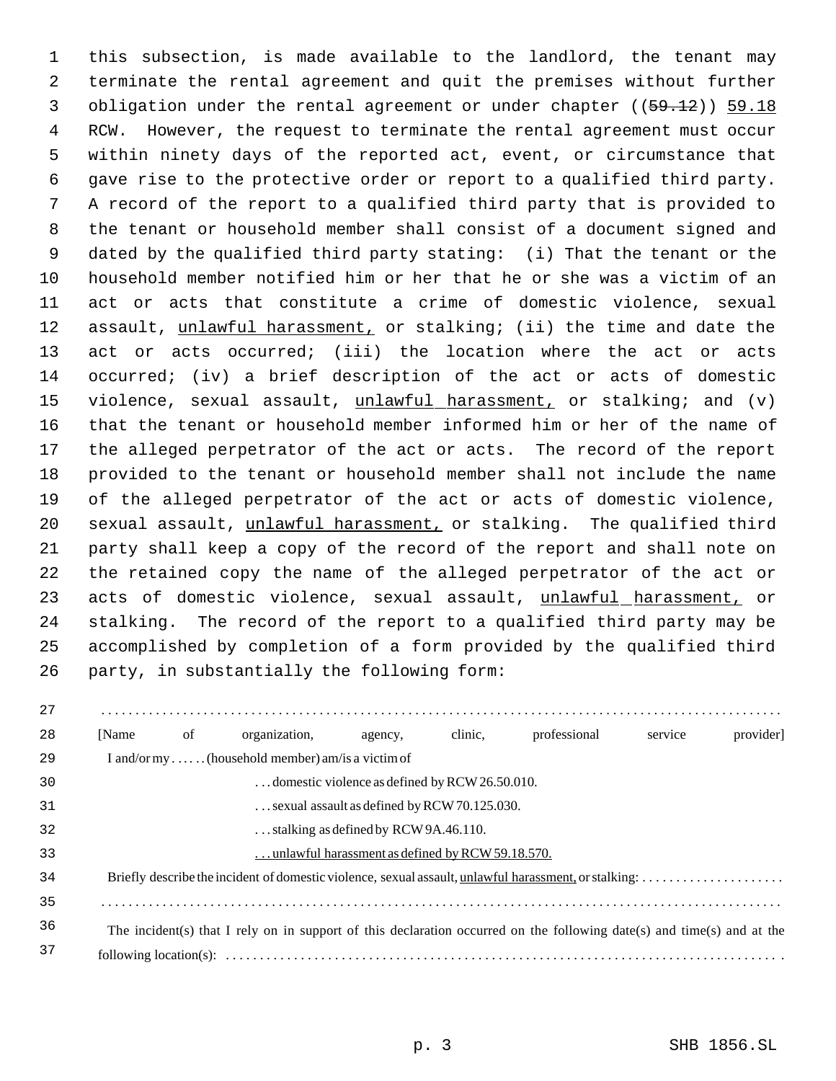this subsection, is made available to the landlord, the tenant may terminate the rental agreement and quit the premises without further 3 obligation under the rental agreement or under chapter ((59.12)) 59.18 RCW. However, the request to terminate the rental agreement must occur within ninety days of the reported act, event, or circumstance that gave rise to the protective order or report to a qualified third party. A record of the report to a qualified third party that is provided to the tenant or household member shall consist of a document signed and dated by the qualified third party stating: (i) That the tenant or the household member notified him or her that he or she was a victim of an act or acts that constitute a crime of domestic violence, sexual 12 assault, unlawful harassment, or stalking; (ii) the time and date the act or acts occurred; (iii) the location where the act or acts occurred; (iv) a brief description of the act or acts of domestic 15 violence, sexual assault, unlawful harassment, or stalking; and (v) that the tenant or household member informed him or her of the name of the alleged perpetrator of the act or acts. The record of the report provided to the tenant or household member shall not include the name of the alleged perpetrator of the act or acts of domestic violence, sexual assault, unlawful harassment, or stalking. The qualified third party shall keep a copy of the record of the report and shall note on the retained copy the name of the alleged perpetrator of the act or 23 acts of domestic violence, sexual assault, unlawful harassment, or stalking. The record of the report to a qualified third party may be accomplished by completion of a form provided by the qualified third party, in substantially the following form:

| 27 |                                       |    |                                                                                                                        |                                                       |         |              |         |          |
|----|---------------------------------------|----|------------------------------------------------------------------------------------------------------------------------|-------------------------------------------------------|---------|--------------|---------|----------|
| 28 | [Name]                                | of | organization.                                                                                                          | agency,                                               | clinic, | professional | service | provider |
| 29 |                                       |    | I and/or my(household member) am/is a victim of                                                                        |                                                       |         |              |         |          |
| 30 |                                       |    |                                                                                                                        | domestic violence as defined by RCW 26.50.010.        |         |              |         |          |
| 31 |                                       |    |                                                                                                                        | $\ldots$ sexual assault as defined by RCW 70.125.030. |         |              |         |          |
| 32 | stalking as defined by RCW 9A.46.110. |    |                                                                                                                        |                                                       |         |              |         |          |
| 33 |                                       |    |                                                                                                                        | unlawful harassment as defined by RCW 59.18.570.      |         |              |         |          |
| 34 |                                       |    |                                                                                                                        |                                                       |         |              |         |          |
| 35 |                                       |    |                                                                                                                        |                                                       |         |              |         |          |
| 36 |                                       |    | The incident(s) that I rely on in support of this declaration occurred on the following date(s) and time(s) and at the |                                                       |         |              |         |          |
| 37 |                                       |    |                                                                                                                        |                                                       |         |              |         |          |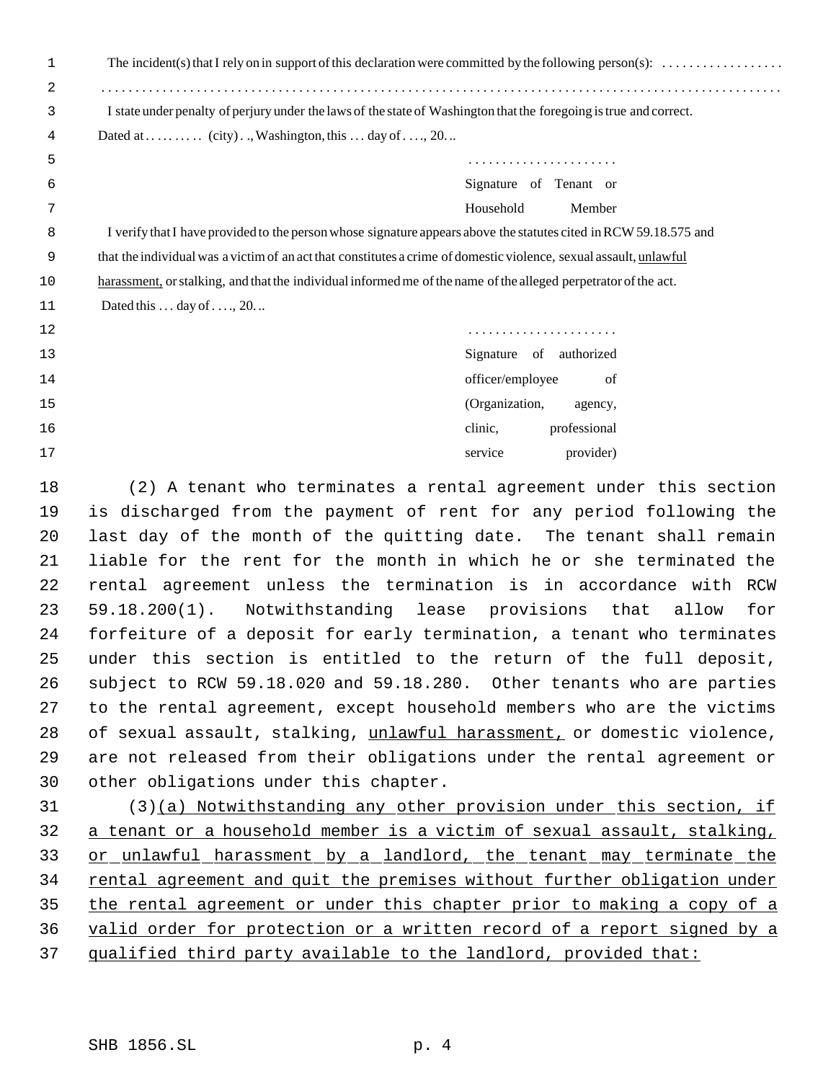| 2  |                                                                                                                    |
|----|--------------------------------------------------------------------------------------------------------------------|
| 3  | I state under penalty of perjury under the laws of the state of Washington that the foregoing is true and correct. |
| 4  |                                                                                                                    |
| 5  |                                                                                                                    |
| 6  | Signature of Tenant or                                                                                             |
| 7  | Household<br>Member                                                                                                |
| 8  | I verify that I have provided to the person whose signature appears above the statutes cited in RCW 59.18.575 and  |
| 9  | that the individual was a victim of an act that constitutes a crime of domestic violence, sexual assault, unlawful |
| 10 | harassment, or stalking, and that the individual informed me of the name of the alleged perpetrator of the act.    |
| 11 | Dated this $\dots$ day of $\dots$ , 20. $\dots$                                                                    |
| 12 |                                                                                                                    |
| 13 | Signature of authorized                                                                                            |
| 14 | officer/employee<br>of                                                                                             |
| 15 | (Organization,<br>agency,                                                                                          |
| 16 | professional<br>clinic,                                                                                            |
| 17 | provider)<br>service                                                                                               |
| 18 | (2) A tenant who terminates a rental agreement under this section                                                  |
| 19 | is discharged from the payment of rent for any period following the                                                |
| 20 | last day of the month of the quitting date. The tenant shall remain                                                |
| 21 | liable for the rent for the month in which he or she terminated the                                                |
| 22 | rental agreement unless the termination is in accordance with RCW                                                  |
| 23 | 59.18.200(1). Notwithstanding lease provisions that allow<br>for                                                   |
| 24 | forfeiture of a deposit for early termination, a tenant who terminates                                             |
| 25 | under this section is entitled to the return of the full deposit,                                                  |
| 26 | subject to RCW 59.18.020 and 59.18.280. Other tenants who are parties                                              |
| 27 | to the rental agreement, except household members who are the victims                                              |
| 28 | of sexual assault, stalking, unlawful harassment, or domestic violence,                                            |
| 29 | are not released from their obligations under the rental agreement or                                              |
| 30 | other obligations under this chapter.                                                                              |
| 31 | $(3)(a)$ Notwithstanding any other provision under this section, if                                                |
| 32 | a tenant or a household member is a victim of sexual assault, stalking,                                            |
| 33 | or unlawful harassment by a landlord, the tenant may terminate the                                                 |
| 34 | rental agreement and quit the premises without further obligation under                                            |
| 35 | the rental agreement or under this chapter prior to making a copy of a                                             |
| 36 | valid order for protection or a written record of a report signed by a                                             |
| 37 | qualified third party available to the landlord, provided that:                                                    |
|    |                                                                                                                    |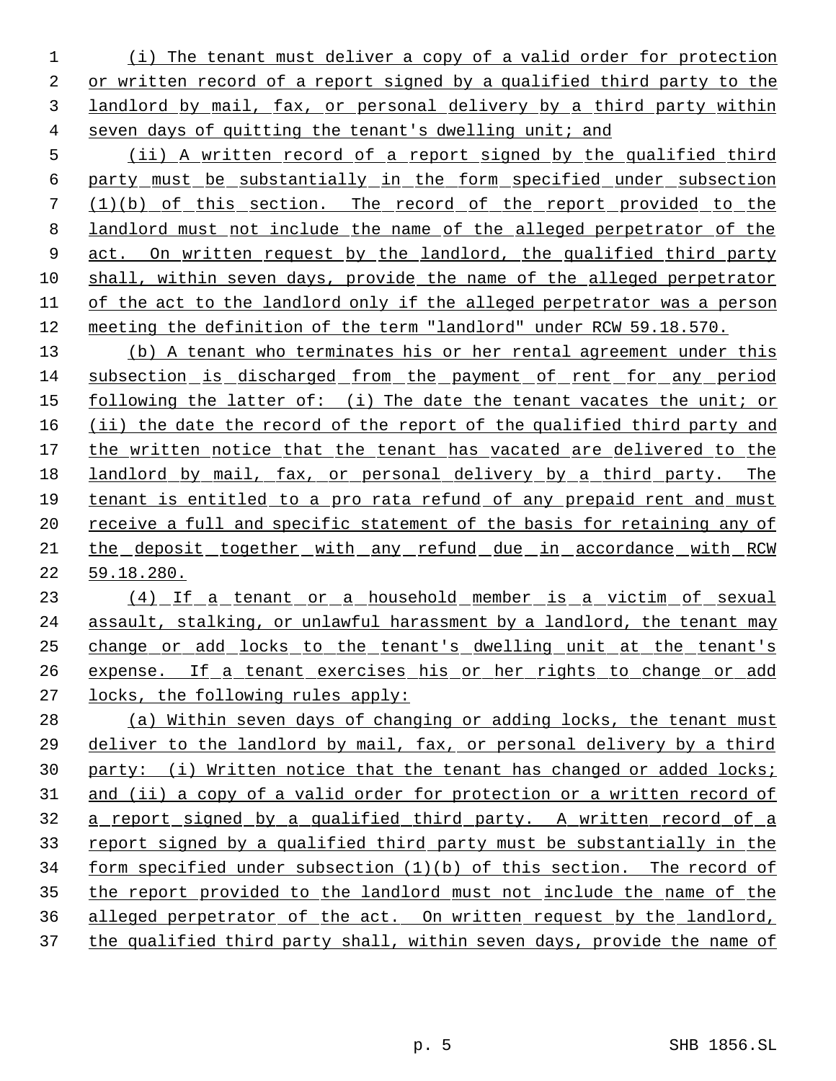(i) The tenant must deliver a copy of a valid order for protection or written record of a report signed by a qualified third party to the landlord by mail, fax, or personal delivery by a third party within seven days of quitting the tenant's dwelling unit; and

 (ii) A written record of a report signed by the qualified third party must be substantially in the form specified under subsection (1)(b) of this section. The record of the report provided to the landlord must not include the name of the alleged perpetrator of the 9 act. On written request by the landlord, the qualified third party shall, within seven days, provide the name of the alleged perpetrator of the act to the landlord only if the alleged perpetrator was a person meeting the definition of the term "landlord" under RCW 59.18.570.

 (b) A tenant who terminates his or her rental agreement under this subsection is discharged from the payment of rent for any period following the latter of: (i) The date the tenant vacates the unit; or (ii) the date the record of the report of the qualified third party and 17 the written notice that the tenant has vacated are delivered to the landlord by mail, fax, or personal delivery by a third party. The tenant is entitled to a pro rata refund of any prepaid rent and must 20 receive a full and specific statement of the basis for retaining any of the deposit together with any refund due in accordance with RCW 59.18.280.

23 (4) If a tenant or a household member is a victim of sexual assault, stalking, or unlawful harassment by a landlord, the tenant may change or add locks to the tenant's dwelling unit at the tenant's 26 expense. If a tenant exercises his or her rights to change or add locks, the following rules apply:

 (a) Within seven days of changing or adding locks, the tenant must deliver to the landlord by mail, fax, or personal delivery by a third party: (i) Written notice that the tenant has changed or added locks; 31 and (ii) a copy of a valid order for protection or a written record of a report signed by a qualified third party. A written record of a report signed by a qualified third party must be substantially in the form specified under subsection (1)(b) of this section. The record of the report provided to the landlord must not include the name of the alleged perpetrator of the act. On written request by the landlord, the qualified third party shall, within seven days, provide the name of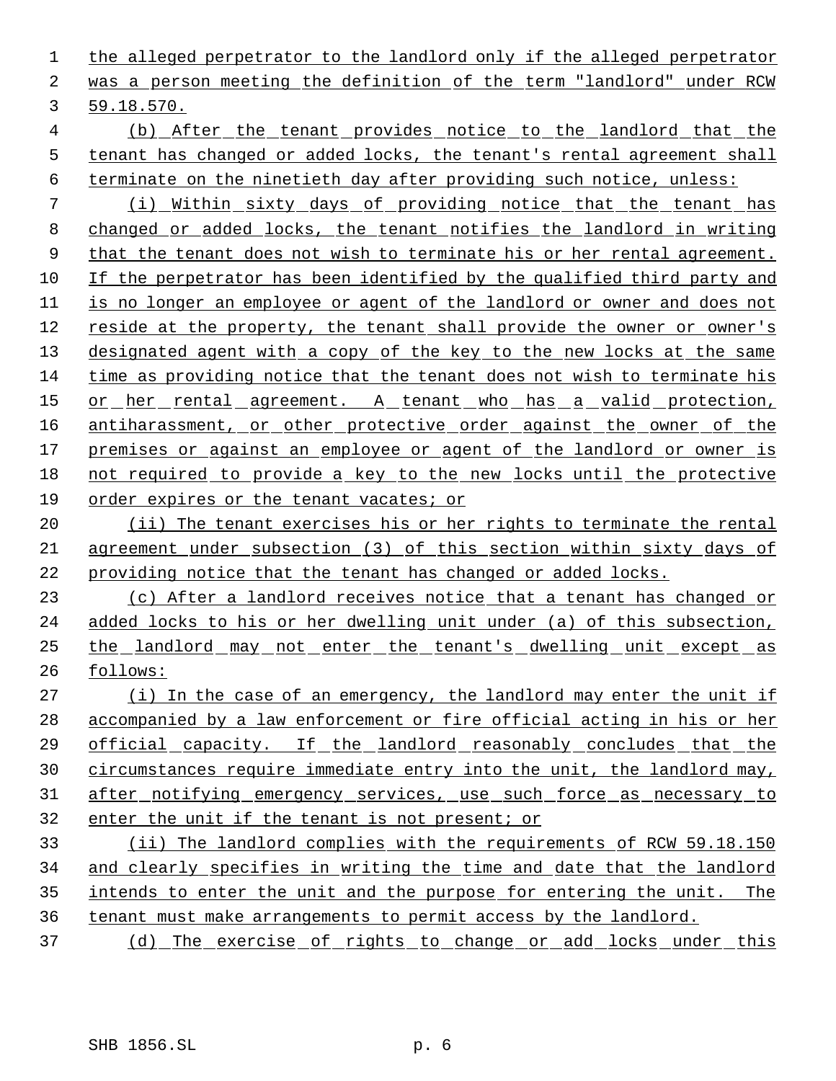the alleged perpetrator to the landlord only if the alleged perpetrator was a person meeting the definition of the term "landlord" under RCW 59.18.570.

 (b) After the tenant provides notice to the landlord that the tenant has changed or added locks, the tenant's rental agreement shall terminate on the ninetieth day after providing such notice, unless:

 (i) Within sixty days of providing notice that the tenant has changed or added locks, the tenant notifies the landlord in writing 9 that the tenant does not wish to terminate his or her rental agreement. If the perpetrator has been identified by the qualified third party and is no longer an employee or agent of the landlord or owner and does not reside at the property, the tenant shall provide the owner or owner's 13 designated agent with a copy of the key to the new locks at the same time as providing notice that the tenant does not wish to terminate his 15 or her rental agreement. A tenant who has a valid protection, 16 antiharassment, or other protective order against the owner of the 17 premises or against an employee or agent of the landlord or owner is not required to provide a key to the new locks until the protective 19 order expires or the tenant vacates; or

20 (ii) The tenant exercises his or her rights to terminate the rental agreement under subsection (3) of this section within sixty days of providing notice that the tenant has changed or added locks.

 (c) After a landlord receives notice that a tenant has changed or added locks to his or her dwelling unit under (a) of this subsection, the landlord may not enter the tenant's dwelling unit except as follows:

27 (i) In the case of an emergency, the landlord may enter the unit if accompanied by a law enforcement or fire official acting in his or her official capacity. If the landlord reasonably concludes that the circumstances require immediate entry into the unit, the landlord may, 31 after notifying emergency services, use such force as necessary to enter the unit if the tenant is not present; or

 (ii) The landlord complies with the requirements of RCW 59.18.150 and clearly specifies in writing the time and date that the landlord 35 intends to enter the unit and the purpose for entering the unit. The tenant must make arrangements to permit access by the landlord.

(d) The exercise of rights to change or add locks under this